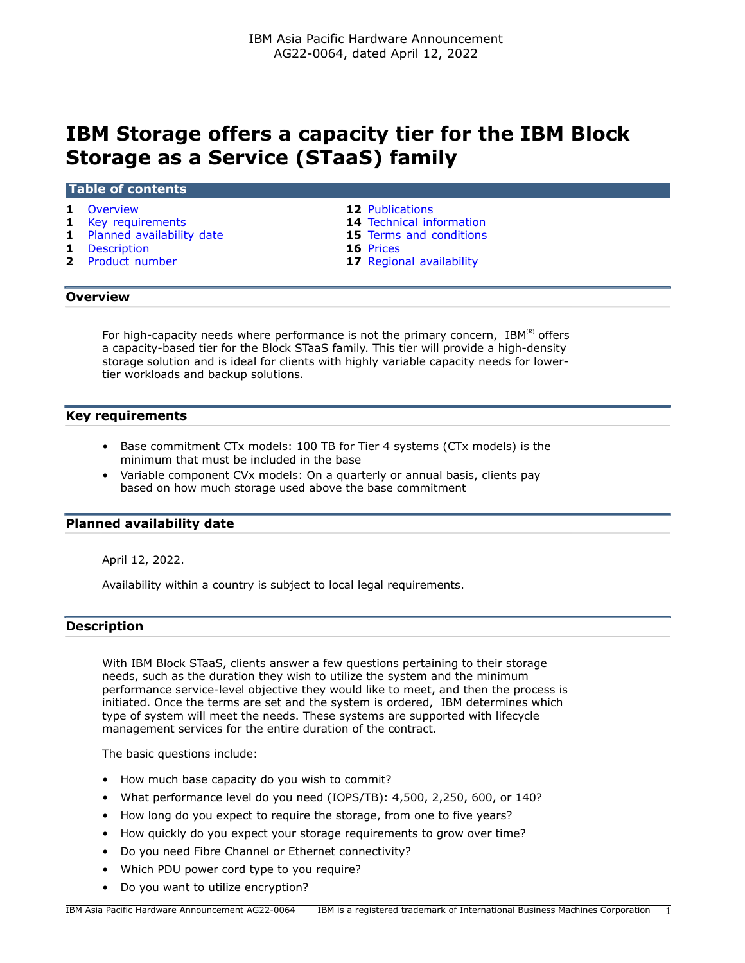# **IBM Storage offers a capacity tier for the IBM Block Storage as a Service (STaaS) family**

# **Table of contents**

- 
- 
- **1** [Planned availability date](#page-0-2) **15** [Terms and conditions](#page-14-0)
- 
- **1** [Description](#page-0-3) **16** [Prices](#page-15-0)
- **1** [Overview](#page-0-0) **12** [Publications](#page-11-0)
- **1** [Key requirements](#page-0-1) **14** [Technical information](#page-13-0)
	-
	-
	- **17** [Regional availability](#page-16-0)

# <span id="page-0-0"></span>**Overview**

For high-capacity needs where performance is not the primary concern,  $IBM^{(R)}$  offers a capacity-based tier for the Block STaaS family. This tier will provide a high-density storage solution and is ideal for clients with highly variable capacity needs for lowertier workloads and backup solutions.

# <span id="page-0-1"></span>**Key requirements**

- Base commitment CTx models: 100 TB for Tier 4 systems (CTx models) is the minimum that must be included in the base
- Variable component CVx models: On a quarterly or annual basis, clients pay based on how much storage used above the base commitment

# <span id="page-0-2"></span>**Planned availability date**

April 12, 2022.

Availability within a country is subject to local legal requirements.

# <span id="page-0-3"></span>**Description**

With IBM Block STaaS, clients answer a few questions pertaining to their storage needs, such as the duration they wish to utilize the system and the minimum performance service-level objective they would like to meet, and then the process is initiated. Once the terms are set and the system is ordered, IBM determines which type of system will meet the needs. These systems are supported with lifecycle management services for the entire duration of the contract.

The basic questions include:

- How much base capacity do you wish to commit?
- What performance level do you need (IOPS/TB): 4,500, 2,250, 600, or 140?
- How long do you expect to require the storage, from one to five years?
- How quickly do you expect your storage requirements to grow over time?
- Do you need Fibre Channel or Ethernet connectivity?
- Which PDU power cord type to you require?
- Do you want to utilize encryption?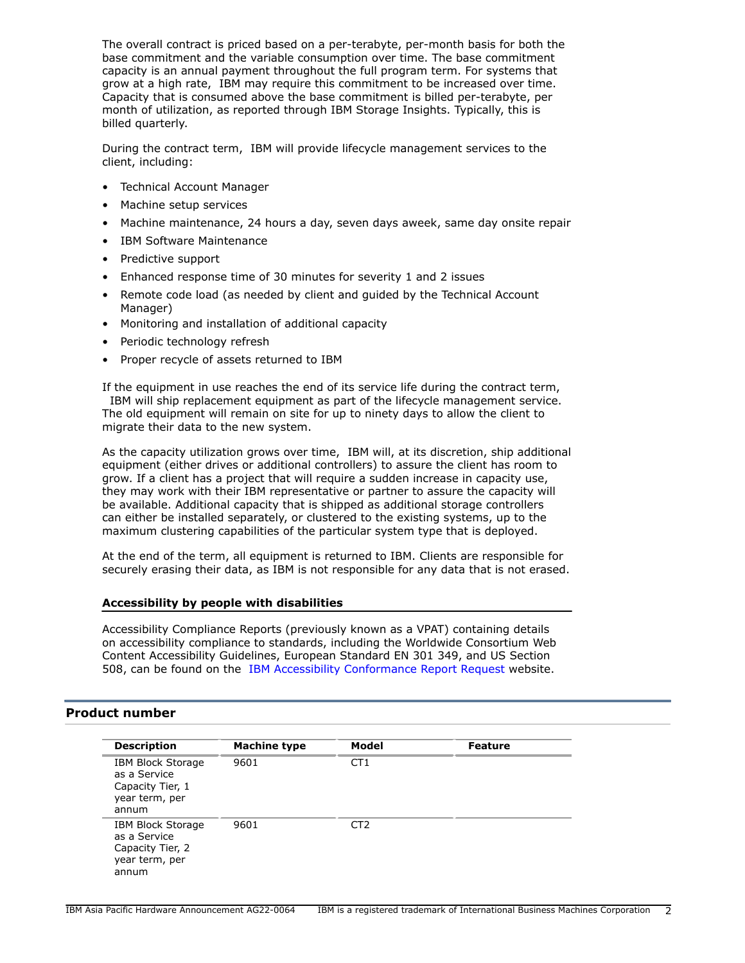The overall contract is priced based on a per-terabyte, per-month basis for both the base commitment and the variable consumption over time. The base commitment capacity is an annual payment throughout the full program term. For systems that grow at a high rate, IBM may require this commitment to be increased over time. Capacity that is consumed above the base commitment is billed per-terabyte, per month of utilization, as reported through IBM Storage Insights. Typically, this is billed quarterly.

During the contract term, IBM will provide lifecycle management services to the client, including:

- Technical Account Manager
- Machine setup services
- Machine maintenance, 24 hours a day, seven days aweek, same day onsite repair
- IBM Software Maintenance
- Predictive support
- Enhanced response time of 30 minutes for severity 1 and 2 issues
- Remote code load (as needed by client and guided by the Technical Account Manager)
- Monitoring and installation of additional capacity
- Periodic technology refresh
- Proper recycle of assets returned to IBM

If the equipment in use reaches the end of its service life during the contract term, IBM will ship replacement equipment as part of the lifecycle management service. The old equipment will remain on site for up to ninety days to allow the client to migrate their data to the new system.

As the capacity utilization grows over time, IBM will, at its discretion, ship additional equipment (either drives or additional controllers) to assure the client has room to grow. If a client has a project that will require a sudden increase in capacity use, they may work with their IBM representative or partner to assure the capacity will be available. Additional capacity that is shipped as additional storage controllers can either be installed separately, or clustered to the existing systems, up to the maximum clustering capabilities of the particular system type that is deployed.

At the end of the term, all equipment is returned to IBM. Clients are responsible for securely erasing their data, as IBM is not responsible for any data that is not erased.

# **Accessibility by people with disabilities**

Accessibility Compliance Reports (previously known as a VPAT) containing details on accessibility compliance to standards, including the Worldwide Consortium Web Content Accessibility Guidelines, European Standard EN 301 349, and US Section 508, can be found on the [IBM Accessibility Conformance Report Request](https://able.ibm.com/request/) website.

# <span id="page-1-0"></span>**Product number**

| <b>Description</b>                                                                      | <b>Machine type</b> | Model           | <b>Feature</b> |
|-----------------------------------------------------------------------------------------|---------------------|-----------------|----------------|
| IBM Block Storage<br>as a Service<br>Capacity Tier, 1<br>year term, per<br>annum        | 9601                | CT <sub>1</sub> |                |
| <b>IBM Block Storage</b><br>as a Service<br>Capacity Tier, 2<br>year term, per<br>annum | 9601                | CT <sub>2</sub> |                |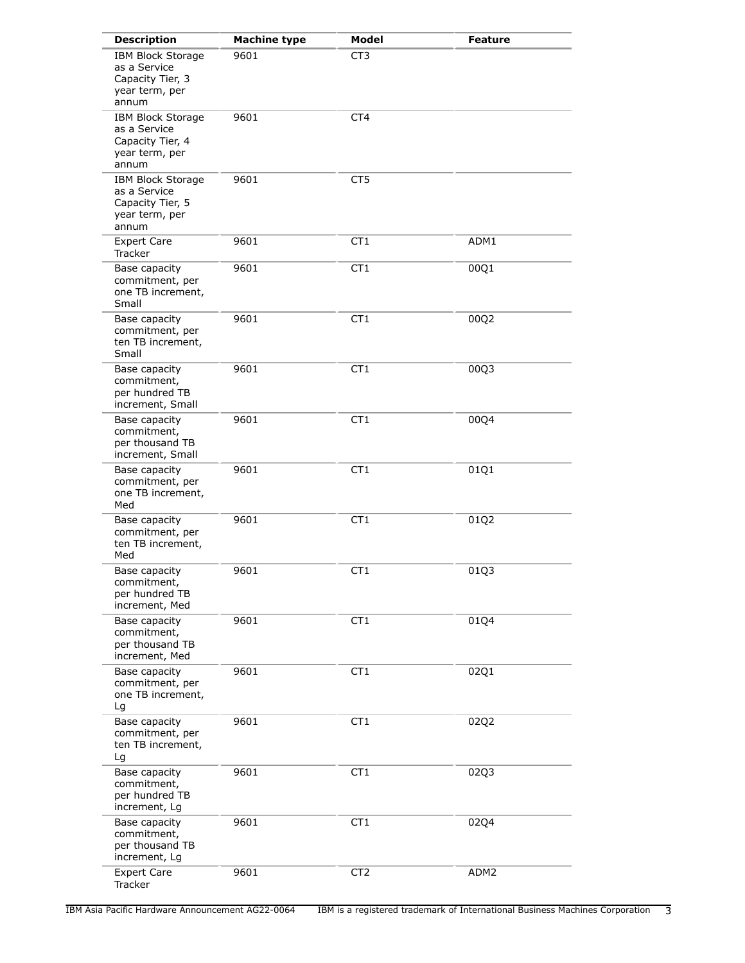| <b>Description</b>                                                                      | <b>Machine type</b> | <b>Model</b>    | <b>Feature</b> |
|-----------------------------------------------------------------------------------------|---------------------|-----------------|----------------|
| <b>IBM Block Storage</b><br>as a Service<br>Capacity Tier, 3<br>year term, per<br>annum | 9601                | CT <sub>3</sub> |                |
| <b>IBM Block Storage</b><br>as a Service<br>Capacity Tier, 4<br>year term, per<br>annum | 9601                | CT4             |                |
| <b>IBM Block Storage</b><br>as a Service<br>Capacity Tier, 5<br>year term, per<br>annum | 9601                | CT <sub>5</sub> |                |
| <b>Expert Care</b><br>Tracker                                                           | 9601                | CT <sub>1</sub> | ADM1           |
| Base capacity<br>commitment, per<br>one TB increment,<br>Small                          | 9601                | CT <sub>1</sub> | 00Q1           |
| Base capacity<br>commitment, per<br>ten TB increment,<br>Small                          | 9601                | CT <sub>1</sub> | 00Q2           |
| Base capacity<br>commitment,<br>per hundred TB<br>increment, Small                      | 9601                | CT <sub>1</sub> | 00Q3           |
| Base capacity<br>commitment,<br>per thousand TB<br>increment, Small                     | 9601                | CT1             | 00Q4           |
| Base capacity<br>commitment, per<br>one TB increment,<br>Med                            | 9601                | CT1             | 01Q1           |
| Base capacity<br>commitment, per<br>ten TB increment,<br>Med                            | 9601                | CT <sub>1</sub> | 01Q2           |
| Base capacity<br>commitment,<br>per hundred TB<br>increment, Med                        | 9601                | CT <sub>1</sub> | 0103           |
| Base capacity<br>commitment,<br>per thousand TB<br>increment, Med                       | 9601                | CT1             | 01Q4           |
| Base capacity<br>commitment, per<br>one TB increment,<br>Lg                             | 9601                | CT <sub>1</sub> | 02Q1           |
| Base capacity<br>commitment, per<br>ten TB increment,<br>Lg                             | 9601                | CT <sub>1</sub> | 02Q2           |
| Base capacity<br>commitment,<br>per hundred TB<br>increment, Lg                         | 9601                | CT <sub>1</sub> | 02Q3           |
| Base capacity<br>commitment,<br>per thousand TB<br>increment, Lg                        | 9601                | CT <sub>1</sub> | 02Q4           |
| <b>Expert Care</b><br>Tracker                                                           | 9601                | CT <sub>2</sub> | ADM2           |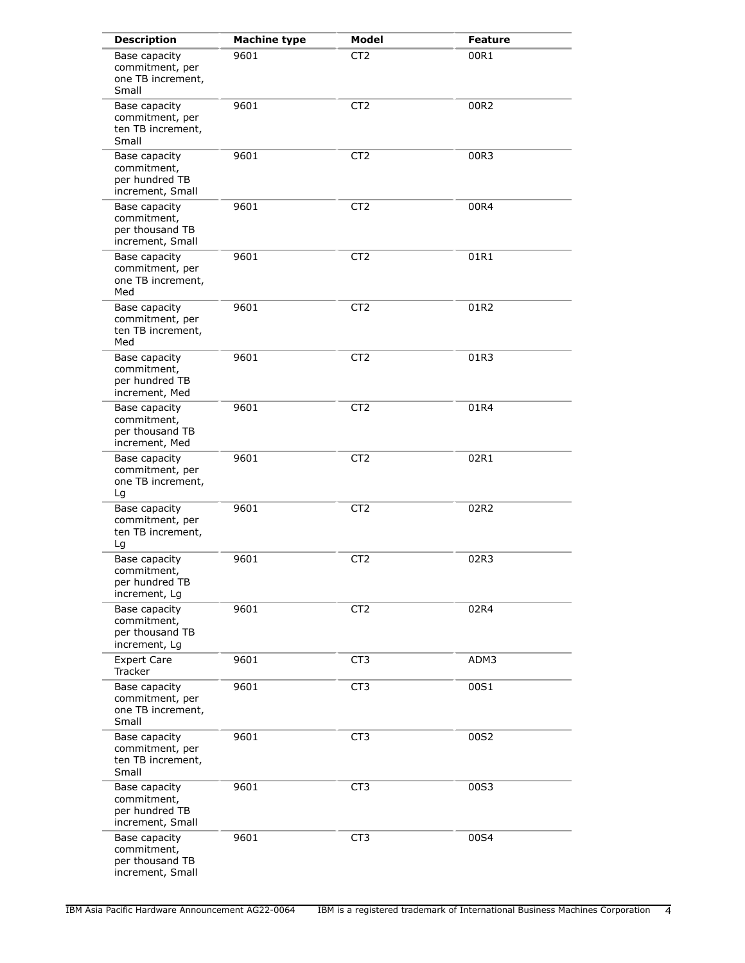| <b>Description</b>                                                  | <b>Machine type</b> | <b>Model</b>    | <b>Feature</b> |
|---------------------------------------------------------------------|---------------------|-----------------|----------------|
| Base capacity<br>commitment, per<br>one TB increment,<br>Small      | 9601                | CT <sub>2</sub> | 00R1           |
| Base capacity<br>commitment, per<br>ten TB increment,<br>Small      | 9601                | CT <sub>2</sub> | 00R2           |
| Base capacity<br>commitment,<br>per hundred TB<br>increment, Small  | 9601                | CT <sub>2</sub> | 00R3           |
| Base capacity<br>commitment,<br>per thousand TB<br>increment, Small | 9601                | CT <sub>2</sub> | 00R4           |
| Base capacity<br>commitment, per<br>one TB increment,<br>Med        | 9601                | CT <sub>2</sub> | 01R1           |
| Base capacity<br>commitment, per<br>ten TB increment,<br>Med        | 9601                | CT <sub>2</sub> | 01R2           |
| Base capacity<br>commitment,<br>per hundred TB<br>increment, Med    | 9601                | CT <sub>2</sub> | 01R3           |
| Base capacity<br>commitment,<br>per thousand TB<br>increment, Med   | 9601                | CT <sub>2</sub> | 01R4           |
| Base capacity<br>commitment, per<br>one TB increment,<br>Lg         | 9601                | CT <sub>2</sub> | 02R1           |
| Base capacity<br>commitment, per<br>ten TB increment,<br>Lg         | 9601                | CT <sub>2</sub> | 02R2           |
| Base capacity<br>commitment,<br>per hundred TB<br>increment, Lg     | 9601                | CT <sub>2</sub> | 02R3           |
| Base capacity<br>commitment,<br>per thousand TB<br>increment, Lg    | 9601                | CT <sub>2</sub> | 02R4           |
| <b>Expert Care</b><br><b>Tracker</b>                                | 9601                | CT <sub>3</sub> | ADM3           |
| Base capacity<br>commitment, per<br>one TB increment,<br>Small      | 9601                | CT <sub>3</sub> | 00S1           |
| Base capacity<br>commitment, per<br>ten TB increment,<br>Small      | 9601                | CT <sub>3</sub> | 00S2           |
| Base capacity<br>commitment,<br>per hundred TB<br>increment, Small  | 9601                | CT <sub>3</sub> | 00S3           |
| Base capacity<br>commitment,<br>per thousand TB<br>increment, Small | 9601                | CT <sub>3</sub> | 00S4           |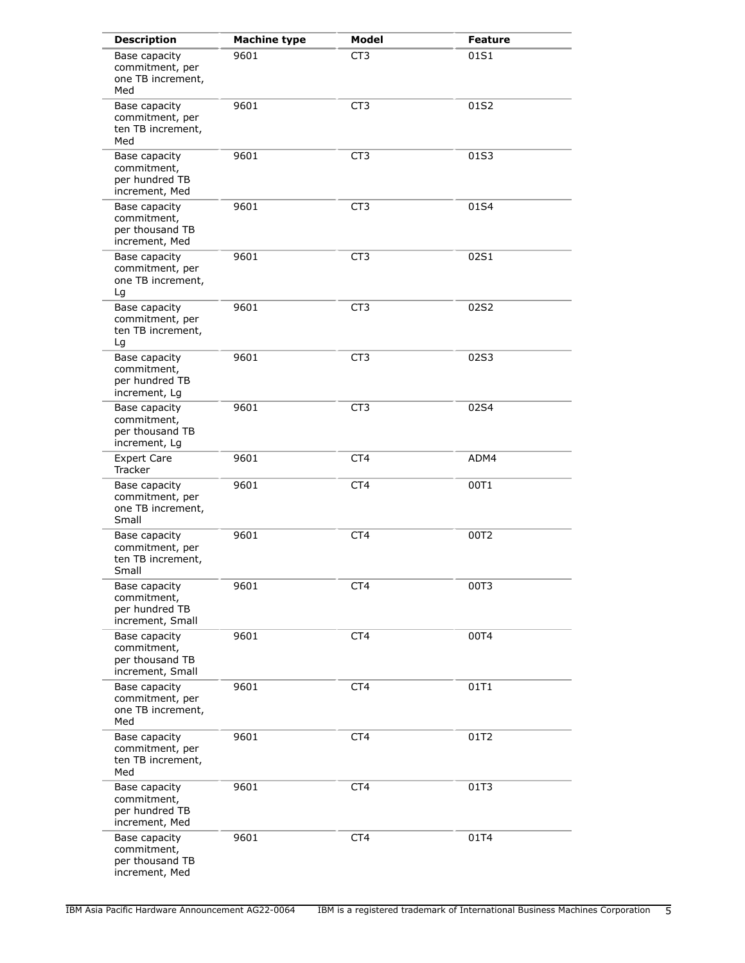| <b>Description</b>                                                  | <b>Machine type</b> | Model           | <b>Feature</b> |
|---------------------------------------------------------------------|---------------------|-----------------|----------------|
| Base capacity<br>commitment, per<br>one TB increment,<br>Med        | 9601                | CT <sub>3</sub> | 01S1           |
| Base capacity<br>commitment, per<br>ten TB increment,<br>Med        | 9601                | CT <sub>3</sub> | 01S2           |
| Base capacity<br>commitment,<br>per hundred TB<br>increment, Med    | 9601                | CT3             | 01S3           |
| Base capacity<br>commitment,<br>per thousand TB<br>increment, Med   | 9601                | CT <sub>3</sub> | 01S4           |
| Base capacity<br>commitment, per<br>one TB increment,<br>Lg         | 9601                | CT <sub>3</sub> | 02S1           |
| Base capacity<br>commitment, per<br>ten TB increment,<br>Lg         | 9601                | CT <sub>3</sub> | 02S2           |
| Base capacity<br>commitment,<br>per hundred TB<br>increment, Lg     | 9601                | CT <sub>3</sub> | 02S3           |
| Base capacity<br>commitment,<br>per thousand TB<br>increment, Lg    | 9601                | CT <sub>3</sub> | 02S4           |
| <b>Expert Care</b><br>Tracker                                       | 9601                | CT4             | ADM4           |
| Base capacity<br>commitment, per<br>one TB increment,<br>Small      | 9601                | CT4             | 00T1           |
| Base capacity<br>commitment, per<br>ten TB increment,<br>Small      | 9601                | CT4             | 00T2           |
| Base capacity<br>commitment,<br>per hundred TB<br>increment, Small  | 9601                | CT <sub>4</sub> | 00T3           |
| Base capacity<br>commitment,<br>per thousand TB<br>increment, Small | 9601                | CT <sub>4</sub> | 00T4           |
| Base capacity<br>commitment, per<br>one TB increment,<br>Med        | 9601                | CT4             | 01T1           |
| Base capacity<br>commitment, per<br>ten TB increment,<br>Med        | 9601                | CT4             | 01T2           |
| Base capacity<br>commitment,<br>per hundred TB<br>increment, Med    | 9601                | CT4             | 01T3           |
| Base capacity<br>commitment,<br>per thousand TB<br>increment, Med   | 9601                | CT4             | 01T4           |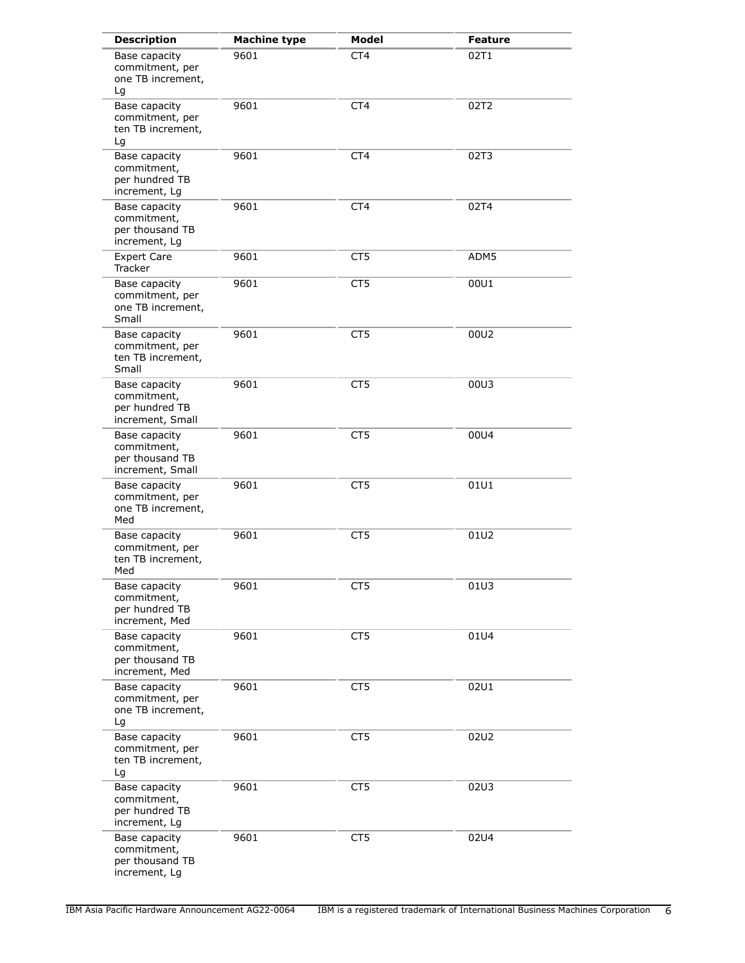| <b>Description</b>                                                  | <b>Machine type</b> | Model           | <b>Feature</b> |
|---------------------------------------------------------------------|---------------------|-----------------|----------------|
| Base capacity<br>commitment, per<br>one TB increment,<br>Lg         | 9601                | CT <sub>4</sub> | 02T1           |
| Base capacity<br>commitment, per<br>ten TB increment,<br>Lg         | 9601                | CT4             | 02T2           |
| Base capacity<br>commitment,<br>per hundred TB<br>increment, Lg     | 9601                | CT4             | 02T3           |
| Base capacity<br>commitment,<br>per thousand TB<br>increment, Lg    | 9601                | CT4             | 02T4           |
| <b>Expert Care</b><br>Tracker                                       | 9601                | CT <sub>5</sub> | ADM5           |
| Base capacity<br>commitment, per<br>one TB increment,<br>Small      | 9601                | CT5             | 00U1           |
| Base capacity<br>commitment, per<br>ten TB increment,<br>Small      | 9601                | CT <sub>5</sub> | 00U2           |
| Base capacity<br>commitment,<br>per hundred TB<br>increment, Small  | 9601                | CT <sub>5</sub> | 00U3           |
| Base capacity<br>commitment,<br>per thousand TB<br>increment, Small | 9601                | CT <sub>5</sub> | 00U4           |
| Base capacity<br>commitment, per<br>one TB increment,<br>Med        | 9601                | CT5             | 01U1           |
| Base capacity<br>commitment, per<br>ten TB increment,<br>Med        | 9601                | CT5             | 01U2           |
| Base capacity<br>commitment,<br>per hundred TB<br>increment, Med    | 9601                | CT5             | 01U3           |
| Base capacity<br>commitment,<br>per thousand TB<br>increment, Med   | 9601                | CT5             | 01U4           |
| Base capacity<br>commitment, per<br>one TB increment,<br>Lg         | 9601                | CT5             | 02U1           |
| Base capacity<br>commitment, per<br>ten TB increment,<br>Lg         | 9601                | CT <sub>5</sub> | 02U2           |
| Base capacity<br>commitment,<br>per hundred TB<br>increment, Lg     | 9601                | CT <sub>5</sub> | 02U3           |
| Base capacity<br>commitment,<br>per thousand TB<br>increment, Lg    | 9601                | CT <sub>5</sub> | 02U4           |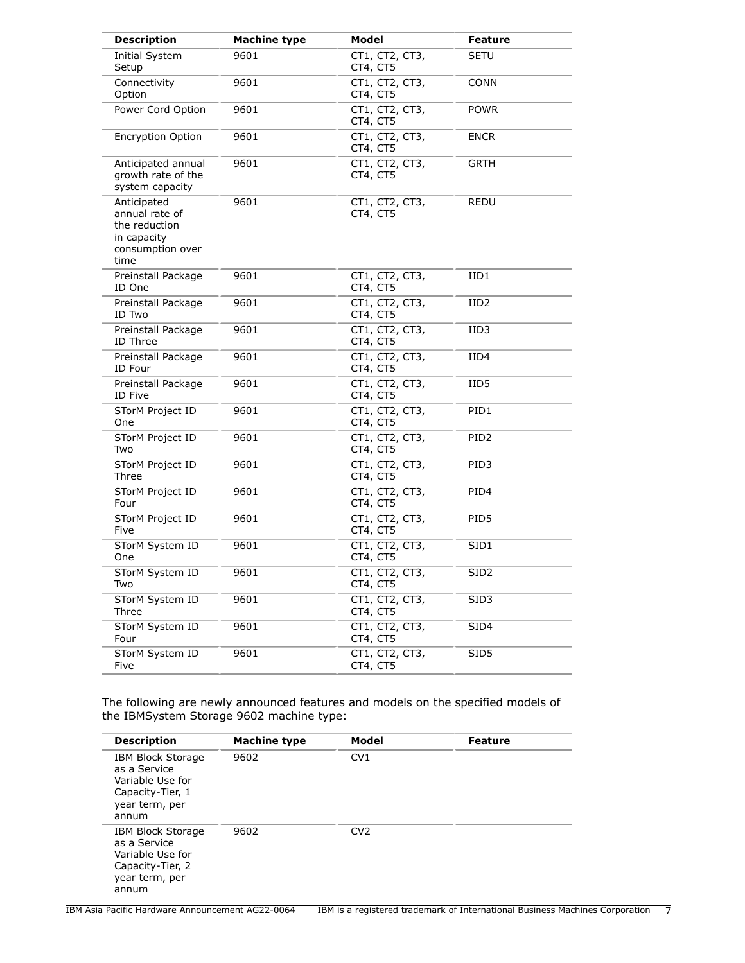| <b>Description</b>                                                                        | <b>Machine type</b> | Model                      | <b>Feature</b>   |
|-------------------------------------------------------------------------------------------|---------------------|----------------------------|------------------|
| Initial System<br>Setup                                                                   | 9601                | CT1, CT2, CT3,<br>CT4, CT5 | SETU             |
| Connectivity<br>Option                                                                    | 9601                | CT1, CT2, CT3,<br>CT4, CT5 | CONN             |
| Power Cord Option                                                                         | 9601                | CT1, CT2, CT3,<br>CT4, CT5 | POWR             |
| <b>Encryption Option</b>                                                                  | 9601                | CT1, CT2, CT3,<br>CT4, CT5 | <b>ENCR</b>      |
| Anticipated annual<br>growth rate of the<br>system capacity                               | 9601                | CT1, CT2, CT3,<br>CT4, CT5 | GRTH             |
| Anticipated<br>annual rate of<br>the reduction<br>in capacity<br>consumption over<br>time | 9601                | CT1, CT2, CT3,<br>CT4, CT5 | REDU             |
| Preinstall Package<br>ID One                                                              | 9601                | CT1, CT2, CT3,<br>CT4, CT5 | IID1             |
| Preinstall Package<br>ID Two                                                              | 9601                | CT1, CT2, CT3,<br>CT4, CT5 | IID2             |
| Preinstall Package<br>ID Three                                                            | 9601                | CT1, CT2, CT3,<br>CT4, CT5 | IID3             |
| Preinstall Package<br>ID Four                                                             | 9601                | CT1, CT2, CT3,<br>CT4, CT5 | IID4             |
| Preinstall Package<br>ID Five                                                             | 9601                | CT1, CT2, CT3,<br>CT4, CT5 | IID5             |
| STorM Project ID<br>One                                                                   | 9601                | CT1, CT2, CT3,<br>CT4, CT5 | PID1             |
| STorM Project ID<br>Two                                                                   | 9601                | CT1, CT2, CT3,<br>CT4, CT5 | PID <sub>2</sub> |
| STorM Project ID<br>Three                                                                 | 9601                | CT1, CT2, CT3,<br>CT4, CT5 | PID3             |
| STorM Project ID<br>Four                                                                  | 9601                | CT1, CT2, CT3,<br>CT4, CT5 | PID4             |
| STorM Project ID<br>Five                                                                  | 9601                | CT1, CT2, CT3,<br>CT4, CT5 | PID5             |
| STorM System ID<br>One                                                                    | 9601                | CT1, CT2, CT3,<br>CT4, CT5 | SID1             |
| STorM System ID<br>Two                                                                    | 9601                | CT1, CT2, CT3,<br>CT4, CT5 | SID2             |
| STorM System ID<br>Three                                                                  | 9601                | CT1, CT2, CT3,<br>CT4, CT5 | SID3             |
| STorM System ID<br>Four                                                                   | 9601                | CT1, CT2, CT3,<br>CT4, CT5 | SID4             |
| STorM System ID<br>Five                                                                   | 9601                | CT1, CT2, CT3,<br>CT4, CT5 | SID <sub>5</sub> |

The following are newly announced features and models on the specified models of the IBMSystem Storage 9602 machine type:

| <b>Description</b>                                                                                          | <b>Machine type</b> | Model           | <b>Feature</b> |
|-------------------------------------------------------------------------------------------------------------|---------------------|-----------------|----------------|
| <b>IBM Block Storage</b><br>as a Service<br>Variable Use for<br>Capacity-Tier, 1<br>year term, per<br>annum | 9602                | CV1             |                |
| <b>IBM Block Storage</b><br>as a Service<br>Variable Use for<br>Capacity-Tier, 2<br>year term, per<br>annum | 9602                | CV <sub>2</sub> |                |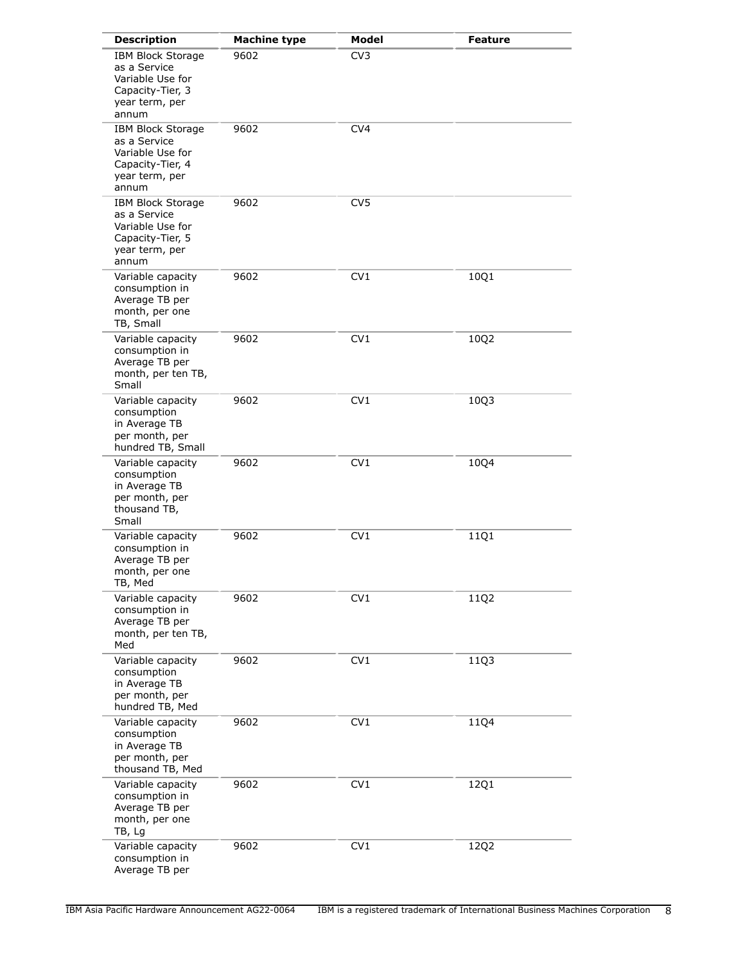| <b>Description</b>                                                                                          | <b>Machine type</b> | Model           | <b>Feature</b> |
|-------------------------------------------------------------------------------------------------------------|---------------------|-----------------|----------------|
| <b>IBM Block Storage</b><br>as a Service<br>Variable Use for<br>Capacity-Tier, 3<br>year term, per<br>annum | 9602                | CV3             |                |
| <b>IBM Block Storage</b><br>as a Service<br>Variable Use for<br>Capacity-Tier, 4<br>year term, per<br>annum | 9602                | CV <sub>4</sub> |                |
| <b>IBM Block Storage</b><br>as a Service<br>Variable Use for<br>Capacity-Tier, 5<br>year term, per<br>annum | 9602                | CV <sub>5</sub> |                |
| Variable capacity<br>consumption in<br>Average TB per<br>month, per one<br>TB, Small                        | 9602                | CV1             | 10Q1           |
| Variable capacity<br>consumption in<br>Average TB per<br>month, per ten TB,<br>Small                        | 9602                | CV1             | 10Q2           |
| Variable capacity<br>consumption<br>in Average TB<br>per month, per<br>hundred TB, Small                    | 9602                | CV1             | 10Q3           |
| Variable capacity<br>consumption<br>in Average TB<br>per month, per<br>thousand TB,<br>Small                | 9602                | CV1             | 10Q4           |
| Variable capacity<br>consumption in<br>Average TB per<br>month, per one<br>TB, Med                          | 9602                | CV1             | 11Q1           |
| Variable capacity<br>consumption in<br>Average TB per<br>month, per ten TB,<br>Med                          | 9602                | CV1             | 11Q2           |
| Variable capacity<br>consumption<br>in Average TB<br>per month, per<br>hundred TB, Med                      | 9602                | CV1             | 11Q3           |
| Variable capacity<br>consumption<br>in Average TB<br>per month, per<br>thousand TB, Med                     | 9602                | CV1             | 11Q4           |
| Variable capacity<br>consumption in<br>Average TB per<br>month, per one<br>TB, Lg                           | 9602                | CV1             | 12Q1           |
| Variable capacity<br>consumption in<br>Average TB per                                                       | 9602                | CV1             | 12Q2           |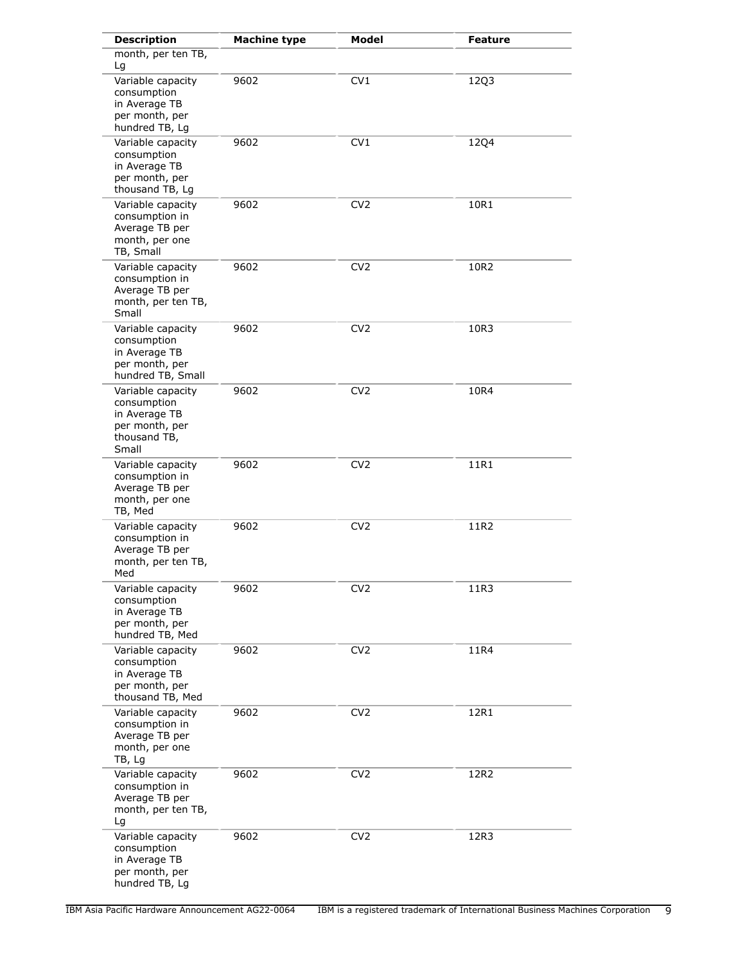| <b>Description</b>                                                                           | <b>Machine type</b> | <b>Model</b>    | Feature     |
|----------------------------------------------------------------------------------------------|---------------------|-----------------|-------------|
| month, per ten TB,<br>Lg                                                                     |                     |                 |             |
| Variable capacity<br>consumption<br>in Average TB<br>per month, per<br>hundred TB, Lg        | 9602                | CV1             | 12Q3        |
| Variable capacity<br>consumption<br>in Average TB<br>per month, per<br>thousand TB, Lg       | 9602                | CV1             | <b>12Q4</b> |
| Variable capacity<br>consumption in<br>Average TB per<br>month, per one<br>TB, Small         | 9602                | CV <sub>2</sub> | 10R1        |
| Variable capacity<br>consumption in<br>Average TB per<br>month, per ten TB,<br>Small         | 9602                | CV <sub>2</sub> | 10R2        |
| Variable capacity<br>consumption<br>in Average TB<br>per month, per<br>hundred TB, Small     | 9602                | CV <sub>2</sub> | 10R3        |
| Variable capacity<br>consumption<br>in Average TB<br>per month, per<br>thousand TB,<br>Small | 9602                | CV <sub>2</sub> | 10R4        |
| Variable capacity<br>consumption in<br>Average TB per<br>month, per one<br>TB, Med           | 9602                | CV <sub>2</sub> | 11R1        |
| Variable capacity<br>consumption in<br>Average TB per<br>month, per ten TB,<br>Med           | 9602                | CV <sub>2</sub> | 11R2        |
| Variable capacity<br>consumption<br>in Average TB<br>per month, per<br>hundred TB, Med       | 9602                | CV <sub>2</sub> | 11R3        |
| Variable capacity<br>consumption<br>in Average TB<br>per month, per<br>thousand TB, Med      | 9602                | CV <sub>2</sub> | 11R4        |
| Variable capacity<br>consumption in<br>Average TB per<br>month, per one<br>TB, Lg            | 9602                | CV <sub>2</sub> | 12R1        |
| Variable capacity<br>consumption in<br>Average TB per<br>month, per ten TB,<br>Lg            | 9602                | CV <sub>2</sub> | 12R2        |
| Variable capacity<br>consumption<br>in Average TB<br>per month, per<br>hundred TB, Lg        | 9602                | CV <sub>2</sub> | 12R3        |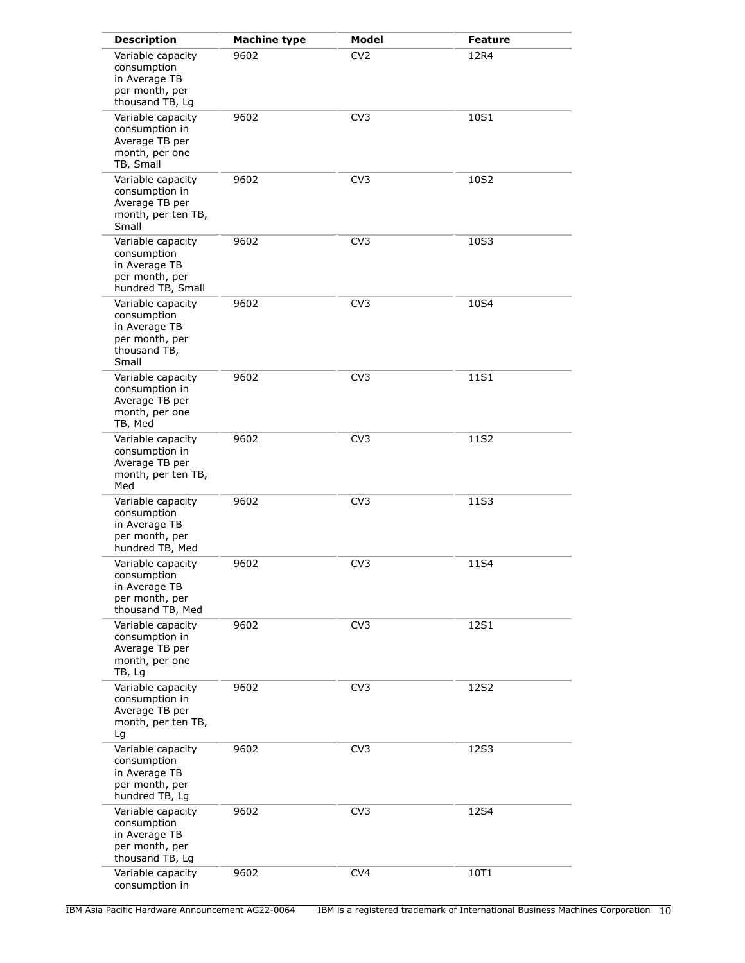| <b>Description</b>                                                                           | <b>Machine type</b> | Model           | <b>Feature</b> |
|----------------------------------------------------------------------------------------------|---------------------|-----------------|----------------|
| Variable capacity<br>consumption<br>in Average TB<br>per month, per<br>thousand TB, Lg       | 9602                | CV <sub>2</sub> | 12R4           |
| Variable capacity<br>consumption in<br>Average TB per<br>month, per one<br>TB, Small         | 9602                | CV <sub>3</sub> | 10S1           |
| Variable capacity<br>consumption in<br>Average TB per<br>month, per ten TB,<br>Small         | 9602                | CV <sub>3</sub> | 10S2           |
| Variable capacity<br>consumption<br>in Average TB<br>per month, per<br>hundred TB, Small     | 9602                | CV <sub>3</sub> | 10S3           |
| Variable capacity<br>consumption<br>in Average TB<br>per month, per<br>thousand TB,<br>Small | 9602                | CV <sub>3</sub> | 10S4           |
| Variable capacity<br>consumption in<br>Average TB per<br>month, per one<br>TB, Med           | 9602                | CV <sub>3</sub> | 11S1           |
| Variable capacity<br>consumption in<br>Average TB per<br>month, per ten TB,<br>Med           | 9602                | CV <sub>3</sub> | 11S2           |
| Variable capacity<br>consumption<br>in Average TB<br>per month, per<br>hundred TB, Med       | 9602                | CV <sub>3</sub> | 11S3           |
| Variable capacity<br>consumption<br>in Average TB<br>per month, per<br>thousand TB, Med      | 9602                | CV <sub>3</sub> | 11S4           |
| Variable capacity<br>consumption in<br>Average TB per<br>month, per one<br>TB, Lg            | 9602                | CV <sub>3</sub> | 12S1           |
| Variable capacity<br>consumption in<br>Average TB per<br>month, per ten TB,<br>Lg            | 9602                | CV <sub>3</sub> | 12S2           |
| Variable capacity<br>consumption<br>in Average TB<br>per month, per<br>hundred TB, Lg        | 9602                | CV <sub>3</sub> | 12S3           |
| Variable capacity<br>consumption<br>in Average TB<br>per month, per<br>thousand TB, Lg       | 9602                | CV <sub>3</sub> | 12S4           |
| Variable capacity<br>consumption in                                                          | 9602                | CV <sub>4</sub> | 10T1           |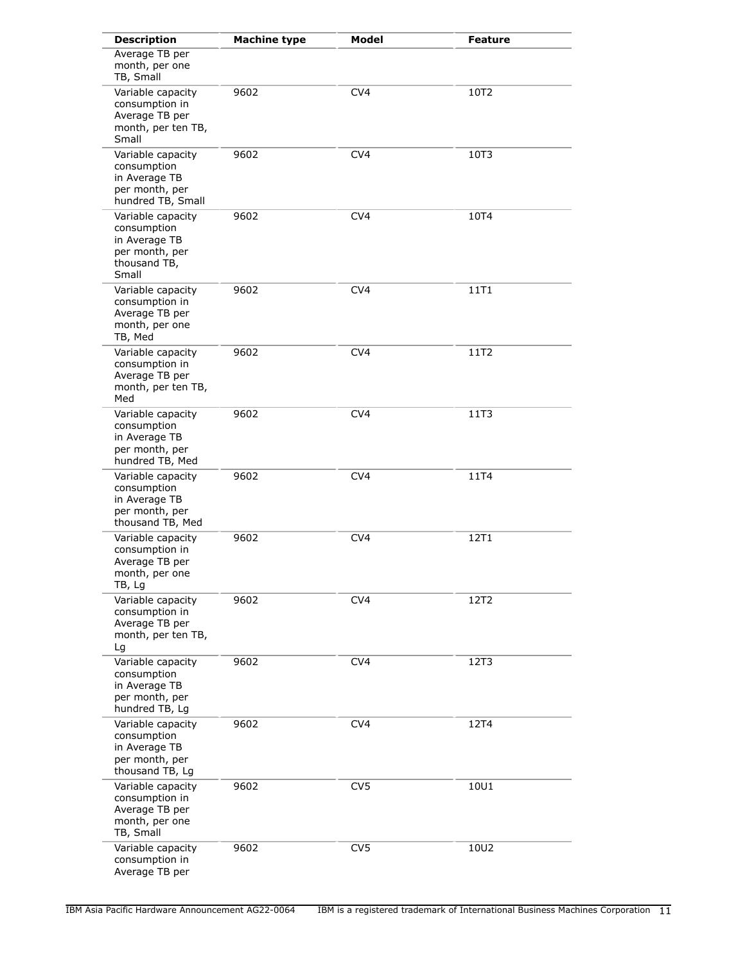| <b>Description</b>                                                                           | <b>Machine type</b> | <b>Model</b>    | <b>Feature</b> |
|----------------------------------------------------------------------------------------------|---------------------|-----------------|----------------|
| Average TB per<br>month, per one<br>TB, Small                                                |                     |                 |                |
| Variable capacity<br>consumption in<br>Average TB per<br>month, per ten TB,<br>Small         | 9602                | CV <sub>4</sub> | 10T2           |
| Variable capacity<br>consumption<br>in Average TB<br>per month, per<br>hundred TB, Small     | 9602                | CV <sub>4</sub> | 10T3           |
| Variable capacity<br>consumption<br>in Average TB<br>per month, per<br>thousand TB,<br>Small | 9602                | CV <sub>4</sub> | 10T4           |
| Variable capacity<br>consumption in<br>Average TB per<br>month, per one<br>TB, Med           | 9602                | CV <sub>4</sub> | 11T1           |
| Variable capacity<br>consumption in<br>Average TB per<br>month, per ten TB,<br>Med           | 9602                | CV <sub>4</sub> | 11T2           |
| Variable capacity<br>consumption<br>in Average TB<br>per month, per<br>hundred TB, Med       | 9602                | CV <sub>4</sub> | 11T3           |
| Variable capacity<br>consumption<br>in Average TB<br>per month, per<br>thousand TB, Med      | 9602                | CV <sub>4</sub> | 11T4           |
| Variable capacity<br>consumption in<br>Average TB per<br>month, per one<br>TB, Lg            | 9602                | CV4             | 12T1           |
| Variable capacity<br>consumption in<br>Average TB per<br>month, per ten TB,<br>Lg            | 9602                | CV <sub>4</sub> | 12T2           |
| Variable capacity<br>consumption<br>in Average TB<br>per month, per<br>hundred TB, Lg        | 9602                | CV <sub>4</sub> | 12T3           |
| Variable capacity<br>consumption<br>in Average TB<br>per month, per<br>thousand TB, Lg       | 9602                | CV <sub>4</sub> | 12T4           |
| Variable capacity<br>consumption in<br>Average TB per<br>month, per one<br>TB, Small         | 9602                | CV <sub>5</sub> | 10U1           |
| Variable capacity<br>consumption in<br>Average TB per                                        | 9602                | CV <sub>5</sub> | 10U2           |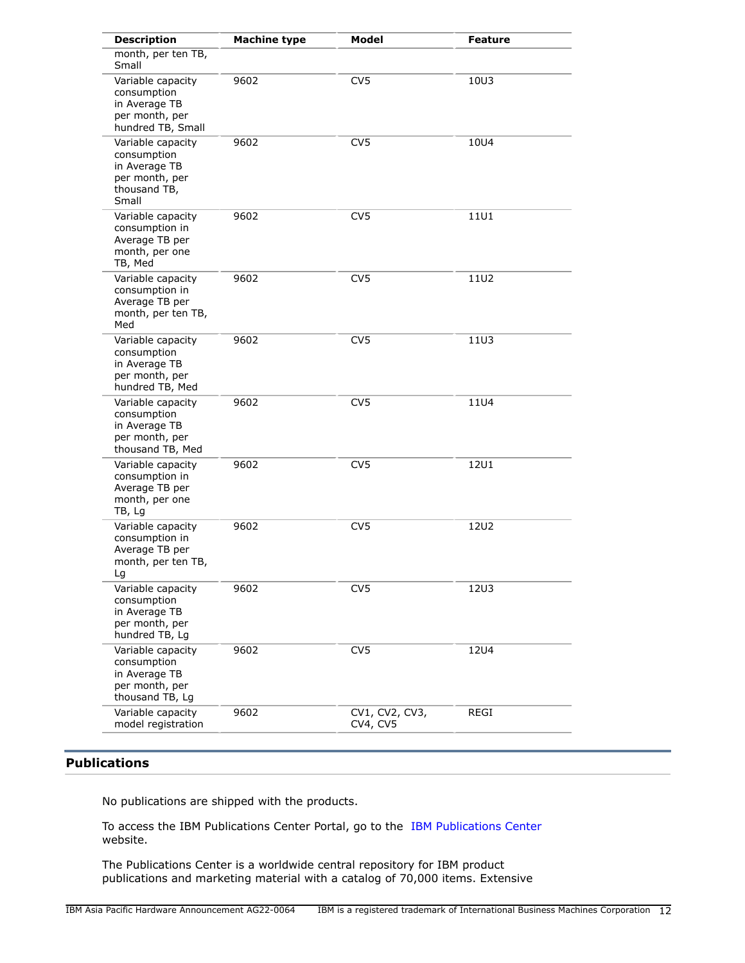| <b>Description</b>                                                                           | <b>Machine type</b> | <b>Model</b>               | Feature     |
|----------------------------------------------------------------------------------------------|---------------------|----------------------------|-------------|
| month, per ten TB,<br>Small                                                                  |                     |                            |             |
| Variable capacity<br>consumption<br>in Average TB<br>per month, per<br>hundred TB, Small     | 9602                | CV <sub>5</sub>            | 10U3        |
| Variable capacity<br>consumption<br>in Average TB<br>per month, per<br>thousand TB,<br>Small | 9602                | CV <sub>5</sub>            | 10U4        |
| Variable capacity<br>consumption in<br>Average TB per<br>month, per one<br>TB, Med           | 9602                | CV <sub>5</sub>            | 11U1        |
| Variable capacity<br>consumption in<br>Average TB per<br>month, per ten TB,<br>Med           | 9602                | CV <sub>5</sub>            | 11U2        |
| Variable capacity<br>consumption<br>in Average TB<br>per month, per<br>hundred TB, Med       | 9602                | CV <sub>5</sub>            | 11U3        |
| Variable capacity<br>consumption<br>in Average TB<br>per month, per<br>thousand TB, Med      | 9602                | CV <sub>5</sub>            | <b>11U4</b> |
| Variable capacity<br>consumption in<br>Average TB per<br>month, per one<br>TB, Lg            | 9602                | CV <sub>5</sub>            | <b>12U1</b> |
| Variable capacity<br>consumption in<br>Average TB per<br>month, per ten TB,<br>Lg            | 9602                | CV <sub>5</sub>            | <b>12U2</b> |
| Variable capacity<br>consumption<br>in Average TB<br>per month, per<br>hundred TB, Lg        | 9602                | CV <sub>5</sub>            | <b>12U3</b> |
| Variable capacity<br>consumption<br>in Average TB<br>per month, per<br>thousand TB, Lg       | 9602                | CV <sub>5</sub>            | <b>12U4</b> |
| Variable capacity<br>model registration                                                      | 9602                | CV1, CV2, CV3,<br>CV4, CV5 | REGI        |

# <span id="page-11-0"></span>**Publications**

No publications are shipped with the products.

To access the IBM Publications Center Portal, go to the [IBM Publications Center](https://www.ibm.com/resources/publications) website.

The Publications Center is a worldwide central repository for IBM product publications and marketing material with a catalog of 70,000 items. Extensive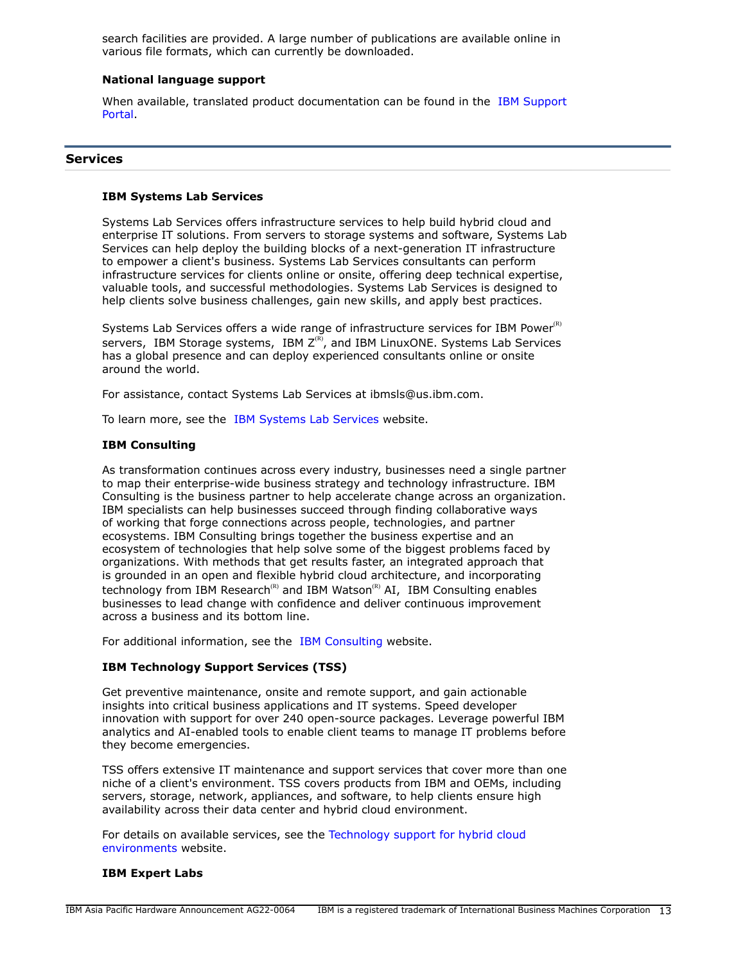search facilities are provided. A large number of publications are available online in various file formats, which can currently be downloaded.

# **National language support**

When available, translated product documentation can be found in the [IBM Support](http://www.ibm.com/support) [Portal.](http://www.ibm.com/support)

#### **Services**

#### **IBM Systems Lab Services**

Systems Lab Services offers infrastructure services to help build hybrid cloud and enterprise IT solutions. From servers to storage systems and software, Systems Lab Services can help deploy the building blocks of a next-generation IT infrastructure to empower a client's business. Systems Lab Services consultants can perform infrastructure services for clients online or onsite, offering deep technical expertise, valuable tools, and successful methodologies. Systems Lab Services is designed to help clients solve business challenges, gain new skills, and apply best practices.

Systems Lab Services offers a wide range of infrastructure services for IBM Power $R$ ) servers, IBM Storage systems, IBM  $Z^{(R)}$ , and IBM LinuxONE. Systems Lab Services has a global presence and can deploy experienced consultants online or onsite around the world.

For assistance, contact Systems Lab Services at ibmsls@us.ibm.com.

To learn more, see the [IBM Systems Lab Services](https://www.ibm.com/it-infrastructure/services/lab-services) website.

# **IBM Consulting**

As transformation continues across every industry, businesses need a single partner to map their enterprise-wide business strategy and technology infrastructure. IBM Consulting is the business partner to help accelerate change across an organization. IBM specialists can help businesses succeed through finding collaborative ways of working that forge connections across people, technologies, and partner ecosystems. IBM Consulting brings together the business expertise and an ecosystem of technologies that help solve some of the biggest problems faced by organizations. With methods that get results faster, an integrated approach that is grounded in an open and flexible hybrid cloud architecture, and incorporating technology from IBM Research<sup>(R)</sup> and IBM Watson<sup>(R)</sup> AI, IBM Consulting enables businesses to lead change with confidence and deliver continuous improvement across a business and its bottom line.

For additional information, see the [IBM Consulting](https://www.ibm.com/consulting) website.

# **IBM Technology Support Services (TSS)**

Get preventive maintenance, onsite and remote support, and gain actionable insights into critical business applications and IT systems. Speed developer innovation with support for over 240 open-source packages. Leverage powerful IBM analytics and AI-enabled tools to enable client teams to manage IT problems before they become emergencies.

TSS offers extensive IT maintenance and support services that cover more than one niche of a client's environment. TSS covers products from IBM and OEMs, including servers, storage, network, appliances, and software, to help clients ensure high availability across their data center and hybrid cloud environment.

For details on available services, see the [Technology support for hybrid cloud](https://www.ibm.com/services/technology-support) [environments](https://www.ibm.com/services/technology-support) website.

# **IBM Expert Labs**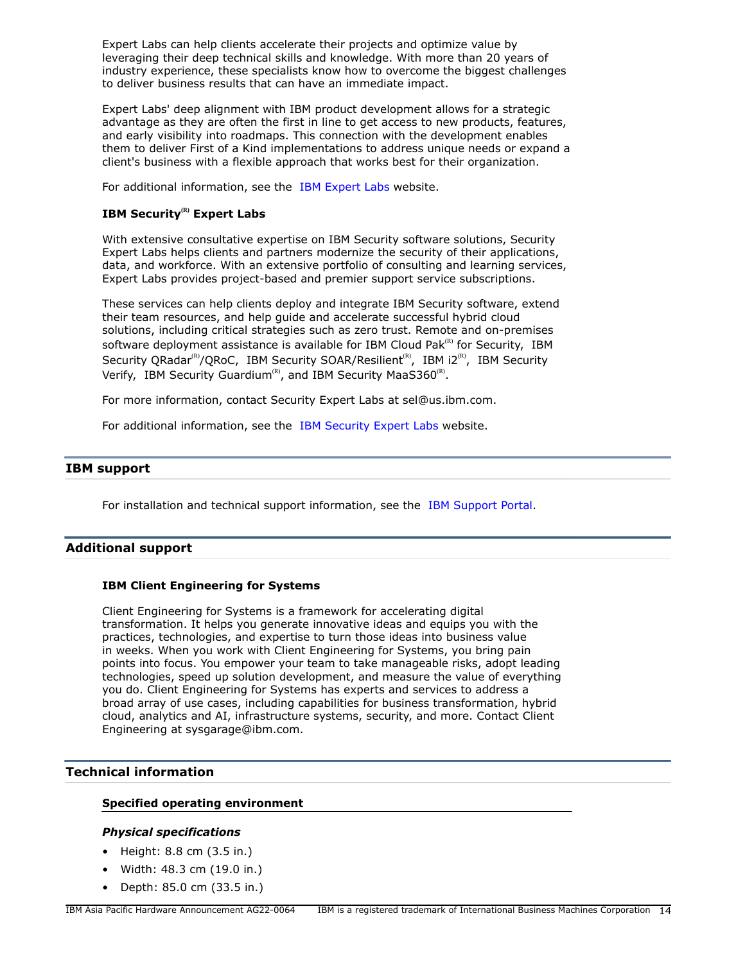Expert Labs can help clients accelerate their projects and optimize value by leveraging their deep technical skills and knowledge. With more than 20 years of industry experience, these specialists know how to overcome the biggest challenges to deliver business results that can have an immediate impact.

Expert Labs' deep alignment with IBM product development allows for a strategic advantage as they are often the first in line to get access to new products, features, and early visibility into roadmaps. This connection with the development enables them to deliver First of a Kind implementations to address unique needs or expand a client's business with a flexible approach that works best for their organization.

For additional information, see the [IBM Expert Labs](https://www.ibm.com/products/expertlabs) website.

# **IBM Security(R) Expert Labs**

With extensive consultative expertise on IBM Security software solutions, Security Expert Labs helps clients and partners modernize the security of their applications, data, and workforce. With an extensive portfolio of consulting and learning services, Expert Labs provides project-based and premier support service subscriptions.

These services can help clients deploy and integrate IBM Security software, extend their team resources, and help guide and accelerate successful hybrid cloud solutions, including critical strategies such as zero trust. Remote and on-premises software deployment assistance is available for IBM Cloud Pak $R$ <sup>(R)</sup> for Security, IBM Security QRadar<sup>(R)</sup>/QRoC, IBM Security SOAR/Resilient<sup>(R)</sup>, IBM i2<sup>(R)</sup>, IBM Security Verify, IBM Security Guardium<sup>(R)</sup>, and IBM Security MaaS360<sup>(R)</sup>.

For more information, contact Security Expert Labs at sel@us.ibm.com.

For additional information, see the [IBM Security Expert Labs](https://www.ibm.com/security/security-expert-labs) website.

# **IBM support**

For installation and technical support information, see the [IBM Support Portal.](https://www.ibm.com/mysupport/s/?language=en_US)

# **Additional support**

# **IBM Client Engineering for Systems**

Client Engineering for Systems is a framework for accelerating digital transformation. It helps you generate innovative ideas and equips you with the practices, technologies, and expertise to turn those ideas into business value in weeks. When you work with Client Engineering for Systems, you bring pain points into focus. You empower your team to take manageable risks, adopt leading technologies, speed up solution development, and measure the value of everything you do. Client Engineering for Systems has experts and services to address a broad array of use cases, including capabilities for business transformation, hybrid cloud, analytics and AI, infrastructure systems, security, and more. Contact Client Engineering at sysgarage@ibm.com.

# <span id="page-13-0"></span>**Technical information**

# **Specified operating environment**

# *Physical specifications*

- Height: 8.8 cm (3.5 in.)
- Width: 48.3 cm (19.0 in.)
- Depth: 85.0 cm (33.5 in.)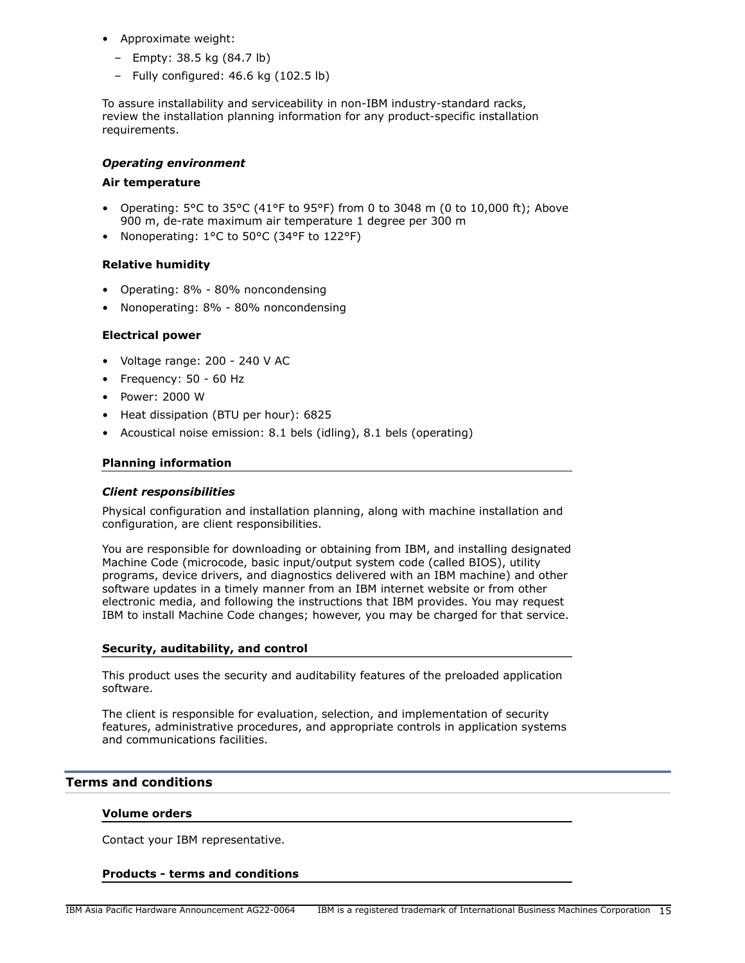- Approximate weight:
	- Empty: 38.5 kg (84.7 lb)
	- Fully configured: 46.6 kg (102.5 lb)

To assure installability and serviceability in non-IBM industry-standard racks, review the installation planning information for any product-specific installation requirements.

# *Operating environment*

# **Air temperature**

- Operating:  $5^{\circ}$ C to  $35^{\circ}$ C (41°F to 95°F) from 0 to 3048 m (0 to 10,000 ft); Above 900 m, de-rate maximum air temperature 1 degree per 300 m
- Nonoperating: 1°C to 50°C (34°F to 122°F)

# **Relative humidity**

- Operating: 8% 80% noncondensing
- Nonoperating: 8% 80% noncondensing

# **Electrical power**

- Voltage range: 200 240 V AC
- Frequency: 50 60 Hz
- Power: 2000 W
- Heat dissipation (BTU per hour): 6825
- Acoustical noise emission: 8.1 bels (idling), 8.1 bels (operating)

# **Planning information**

# *Client responsibilities*

Physical configuration and installation planning, along with machine installation and configuration, are client responsibilities.

You are responsible for downloading or obtaining from IBM, and installing designated Machine Code (microcode, basic input/output system code (called BIOS), utility programs, device drivers, and diagnostics delivered with an IBM machine) and other software updates in a timely manner from an IBM internet website or from other electronic media, and following the instructions that IBM provides. You may request IBM to install Machine Code changes; however, you may be charged for that service.

# **Security, auditability, and control**

This product uses the security and auditability features of the preloaded application software.

The client is responsible for evaluation, selection, and implementation of security features, administrative procedures, and appropriate controls in application systems and communications facilities.

# <span id="page-14-0"></span>**Terms and conditions**

# **Volume orders**

Contact your IBM representative.

#### **Products - terms and conditions**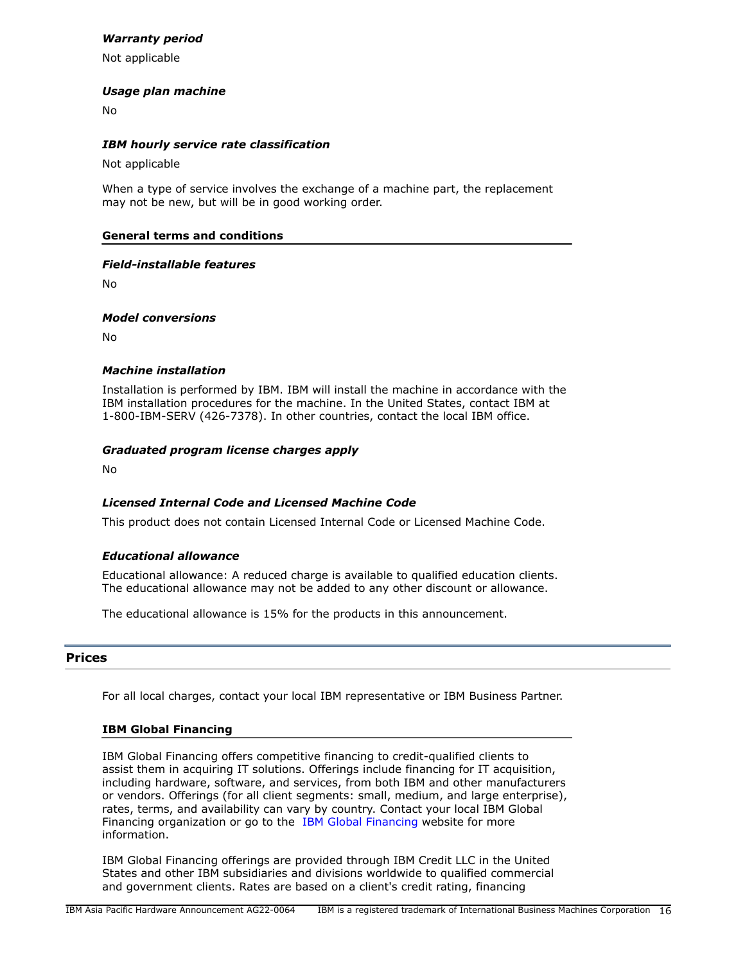# *Warranty period*

Not applicable

# *Usage plan machine*

No

# *IBM hourly service rate classification*

Not applicable

When a type of service involves the exchange of a machine part, the replacement may not be new, but will be in good working order.

# **General terms and conditions**

# *Field-installable features*

No

*Model conversions*

No

# *Machine installation*

Installation is performed by IBM. IBM will install the machine in accordance with the IBM installation procedures for the machine. In the United States, contact IBM at 1-800-IBM-SERV (426-7378). In other countries, contact the local IBM office.

# *Graduated program license charges apply*

No

# *Licensed Internal Code and Licensed Machine Code*

This product does not contain Licensed Internal Code or Licensed Machine Code.

# *Educational allowance*

Educational allowance: A reduced charge is available to qualified education clients. The educational allowance may not be added to any other discount or allowance.

The educational allowance is 15% for the products in this announcement.

# <span id="page-15-0"></span>**Prices**

For all local charges, contact your local IBM representative or IBM Business Partner.

# **IBM Global Financing**

IBM Global Financing offers competitive financing to credit-qualified clients to assist them in acquiring IT solutions. Offerings include financing for IT acquisition, including hardware, software, and services, from both IBM and other manufacturers or vendors. Offerings (for all client segments: small, medium, and large enterprise), rates, terms, and availability can vary by country. Contact your local IBM Global Financing organization or go to the [IBM Global Financing](http://www.ibm.com/financing) website for more information.

IBM Global Financing offerings are provided through IBM Credit LLC in the United States and other IBM subsidiaries and divisions worldwide to qualified commercial and government clients. Rates are based on a client's credit rating, financing